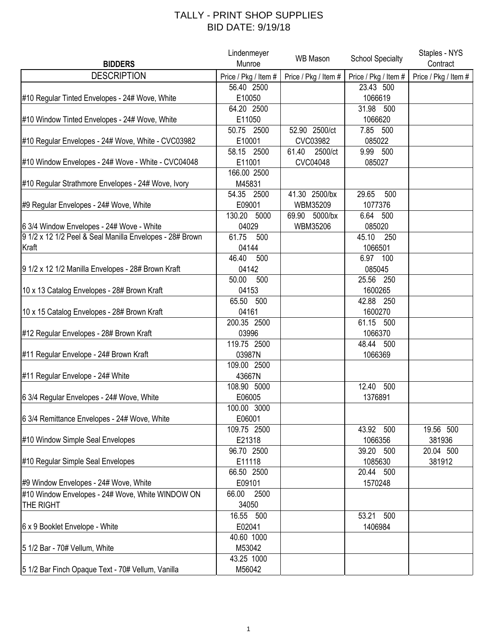## TALLY - PRINT SHOP SUPPLIES BID DATE: 9/19/18

|                                                          | Lindenmeyer          | <b>WB Mason</b>      | <b>School Specialty</b> | Staples - NYS        |
|----------------------------------------------------------|----------------------|----------------------|-------------------------|----------------------|
| <b>BIDDERS</b>                                           | Munroe               |                      |                         | Contract             |
| <b>DESCRIPTION</b>                                       | Price / Pkg / Item # | Price / Pkg / Item # | Price / Pkg / Item #    | Price / Pkg / Item # |
|                                                          | 56.40 2500           |                      | 23.43 500               |                      |
| #10 Regular Tinted Envelopes - 24# Wove, White           | E10050               |                      | 1066619                 |                      |
|                                                          | 64.20 2500           |                      | 31.98 500               |                      |
| #10 Window Tinted Envelopes - 24# Wove, White            | E11050               |                      | 1066620                 |                      |
|                                                          | 50.75 2500           | 52.90 2500/ct        | 7.85 500                |                      |
| #10 Regular Envelopes - 24# Wove, White - CVC03982       | E10001               | CVC03982             | 085022                  |                      |
|                                                          | 58.15 2500           | 2500/ct<br>61.40     | 9.99 500                |                      |
| #10 Window Envelopes - 24# Wove - White - CVC04048       | E11001               | CVC04048             | 085027                  |                      |
|                                                          | 166.00 2500          |                      |                         |                      |
| #10 Regular Strathmore Envelopes - 24# Wove, Ivory       | M45831               |                      |                         |                      |
|                                                          | 54.35 2500           | 41.30 2500/bx        | 29.65<br>500            |                      |
| #9 Regular Envelopes - 24# Wove, White                   | E09001               | WBM35209             | 1077376                 |                      |
|                                                          | 130.20 5000          | 69.90 5000/bx        | 6.64 500                |                      |
| 6 3/4 Window Envelopes - 24# Wove - White                | 04029                | WBM35206             | 085020                  |                      |
| 9 1/2 x 12 1/2 Peel & Seal Manilla Envelopes - 28# Brown | 61.75<br>500         |                      | 45.10<br>250            |                      |
| Kraft                                                    | 04144                |                      | 1066501                 |                      |
|                                                          | 46.40<br>500         |                      | 6.97 100                |                      |
| 9 1/2 x 12 1/2 Manilla Envelopes - 28# Brown Kraft       | 04142                |                      | 085045                  |                      |
|                                                          | 50.00<br>500         |                      | 25.56 250               |                      |
| 10 x 13 Catalog Envelopes - 28# Brown Kraft              | 04153                |                      | 1600265                 |                      |
|                                                          | 65.50 500            |                      | 42.88 250               |                      |
| 10 x 15 Catalog Envelopes - 28# Brown Kraft              | 04161                |                      | 1600270                 |                      |
|                                                          | 200.35 2500          |                      | 61.15 500               |                      |
| #12 Regular Envelopes - 28# Brown Kraft                  | 03996                |                      | 1066370                 |                      |
|                                                          | 119.75 2500          |                      | 48.44 500               |                      |
| #11 Regular Envelope - 24# Brown Kraft                   | 03987N               |                      | 1066369                 |                      |
|                                                          | 109.00 2500          |                      |                         |                      |
| #11 Regular Envelope - 24# White                         | 43667N               |                      |                         |                      |
|                                                          | 108.90 5000          |                      | 12.40 500               |                      |
| 6 3/4 Regular Envelopes - 24# Wove, White                | E06005               |                      | 1376891                 |                      |
|                                                          | 100.00 3000          |                      |                         |                      |
| 6 3/4 Remittance Envelopes - 24# Wove, White             | E06001               |                      |                         |                      |
|                                                          | 109.75 2500          |                      | 43.92 500               | 19.56 500            |
| #10 Window Simple Seal Envelopes                         | E21318               |                      | 1066356                 | 381936               |
|                                                          | 96.70 2500           |                      | 39.20 500               | 20.04 500            |
| #10 Regular Simple Seal Envelopes                        | E11118               |                      | 1085630                 | 381912               |
|                                                          | 66.50 2500           |                      | 20.44 500               |                      |
| #9 Window Envelopes - 24# Wove, White                    | E09101               |                      | 1570248                 |                      |
| #10 Window Envelopes - 24# Wove, White WINDOW ON         | 66.00<br>2500        |                      |                         |                      |
| THE RIGHT                                                | 34050                |                      |                         |                      |
|                                                          | 16.55 500            |                      | 53.21 500               |                      |
| 6 x 9 Booklet Envelope - White                           | E02041               |                      | 1406984                 |                      |
|                                                          | 40.60 1000           |                      |                         |                      |
| 5 1/2 Bar - 70# Vellum, White                            | M53042               |                      |                         |                      |
|                                                          | 43.25 1000           |                      |                         |                      |
| 5 1/2 Bar Finch Opaque Text - 70# Vellum, Vanilla        | M56042               |                      |                         |                      |
|                                                          |                      |                      |                         |                      |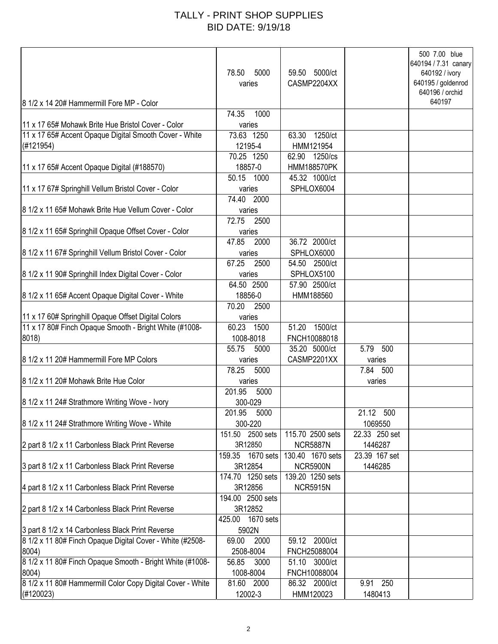## TALLY - PRINT SHOP SUPPLIES BID DATE: 9/19/18

| 8 1/2 x 14 20# Hammermill Fore MP - Color                  | 78.50<br>5000<br>varies | 59.50 5000/ct<br>CASMP2204XX |               | 500 7.00 blue<br>640194 / 7.31 canary<br>640192 / ivory<br>640195 / goldenrod<br>640196 / orchid<br>640197 |
|------------------------------------------------------------|-------------------------|------------------------------|---------------|------------------------------------------------------------------------------------------------------------|
|                                                            | 74.35<br>1000           |                              |               |                                                                                                            |
| 11 x 17 65# Mohawk Brite Hue Bristol Cover - Color         | varies                  |                              |               |                                                                                                            |
| 11 x 17 65# Accent Opaque Digital Smooth Cover - White     | $\overline{73.63}$ 1250 | 63.30 1250/ct                |               |                                                                                                            |
| (#121954)                                                  | 12195-4                 | HMM121954                    |               |                                                                                                            |
|                                                            | 70.25 1250              | 62.90 1250/cs                |               |                                                                                                            |
| 11 x 17 65# Accent Opaque Digital (#188570)                | 18857-0                 | <b>HMM188570PK</b>           |               |                                                                                                            |
|                                                            | 50.15 1000              | 45.32 1000/ct                |               |                                                                                                            |
| 11 x 17 67# Springhill Vellum Bristol Cover - Color        | varies                  | SPHLOX6004                   |               |                                                                                                            |
|                                                            | 74.40 2000              |                              |               |                                                                                                            |
| 8 1/2 x 11 65# Mohawk Brite Hue Vellum Cover - Color       | varies                  |                              |               |                                                                                                            |
|                                                            | 72.75<br>2500           |                              |               |                                                                                                            |
| 8 1/2 x 11 65# Springhill Opaque Offset Cover - Color      | varies                  |                              |               |                                                                                                            |
|                                                            | 47.85<br>2000           | 36.72 2000/ct                |               |                                                                                                            |
| 8 1/2 x 11 67# Springhill Vellum Bristol Cover - Color     | varies                  | SPHLOX6000                   |               |                                                                                                            |
|                                                            | 67.25<br>2500           | 54.50 2500/ct                |               |                                                                                                            |
| 8 1/2 x 11 90# Springhill Index Digital Cover - Color      | varies                  | SPHLOX5100                   |               |                                                                                                            |
|                                                            | 64.50 2500              | 57.90 2500/ct                |               |                                                                                                            |
| 8 1/2 x 11 65# Accent Opaque Digital Cover - White         | 18856-0                 | HMM188560                    |               |                                                                                                            |
|                                                            | 70.20<br>2500           |                              |               |                                                                                                            |
| 11 x 17 60# Springhill Opaque Offset Digital Colors        | varies                  |                              |               |                                                                                                            |
| 11 x 17 80# Finch Opaque Smooth - Bright White (#1008-     | 60.23<br>1500           | 51.20 1500/ct                |               |                                                                                                            |
| 8018)                                                      | 1008-8018               | FNCH10088018                 |               |                                                                                                            |
|                                                            | 55.75<br>5000           | 35.20 5000/ct                | 5.79<br>500   |                                                                                                            |
| 8 1/2 x 11 20# Hammermill Fore MP Colors                   | varies                  | CASMP2201XX                  | varies        |                                                                                                            |
|                                                            | 78.25<br>5000           |                              | 7.84 500      |                                                                                                            |
| 8 1/2 x 11 20# Mohawk Brite Hue Color                      | varies                  |                              | varies        |                                                                                                            |
|                                                            | 201.95<br>5000          |                              |               |                                                                                                            |
| 8 1/2 x 11 24# Strathmore Writing Wove - Ivory             | 300-029                 |                              |               |                                                                                                            |
|                                                            | 201.95<br>5000          |                              | 21.12 500     |                                                                                                            |
| 8 1/2 x 11 24# Strathmore Writing Wove - White             | 300-220                 |                              | 1069550       |                                                                                                            |
|                                                            | 151.50 2500 sets        | 115.70 2500 sets             | 22.33 250 set |                                                                                                            |
| 2 part 8 1/2 x 11 Carbonless Black Print Reverse           | 3R12850                 | <b>NCR5887N</b>              | 1446287       |                                                                                                            |
|                                                            | 159.35 1670 sets        | 130.40 1670 sets             | 23.39 167 set |                                                                                                            |
| 3 part 8 1/2 x 11 Carbonless Black Print Reverse           | 3R12854                 | <b>NCR5900N</b>              | 1446285       |                                                                                                            |
|                                                            | 174.70 1250 sets        | 139.20 1250 sets             |               |                                                                                                            |
| 4 part 8 1/2 x 11 Carbonless Black Print Reverse           | 3R12856                 | <b>NCR5915N</b>              |               |                                                                                                            |
|                                                            | 194.00 2500 sets        |                              |               |                                                                                                            |
| 2 part 8 1/2 x 14 Carbonless Black Print Reverse           | 3R12852                 |                              |               |                                                                                                            |
|                                                            | 1670 sets<br>425.00     |                              |               |                                                                                                            |
| 3 part 8 1/2 x 14 Carbonless Black Print Reverse           | 5902N                   |                              |               |                                                                                                            |
| 8 1/2 x 11 80# Finch Opaque Digital Cover - White (#2508-  | 69.00<br>2000           | 59.12 2000/ct                |               |                                                                                                            |
| $ 8004\rangle$                                             | 2508-8004               | FNCH25088004                 |               |                                                                                                            |
| 8 1/2 x 11 80# Finch Opaque Smooth - Bright White (#1008-  | 56.85<br>3000           | 51.10 3000/ct                |               |                                                                                                            |
| 8004)                                                      | 1008-8004               | FNCH10088004                 |               |                                                                                                            |
| 8 1/2 x 11 80# Hammermill Color Copy Digital Cover - White | 81.60 2000              | 86.32 2000/ct                | 9.91 250      |                                                                                                            |
| (H120023)                                                  | 12002-3                 | HMM120023                    | 1480413       |                                                                                                            |